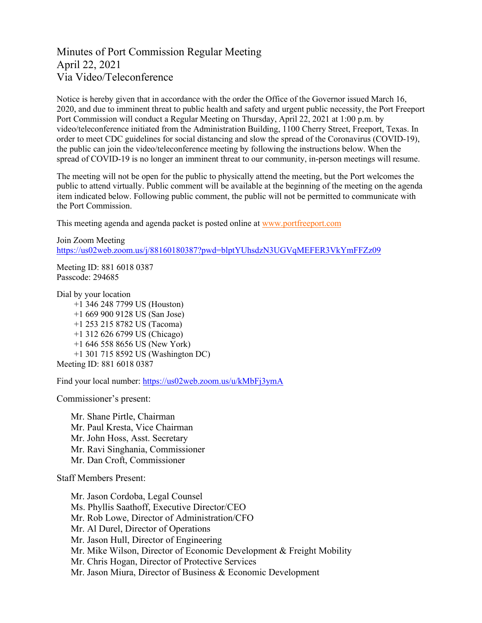# Minutes of Port Commission Regular Meeting April 22, 2021 Via Video/Teleconference

Notice is hereby given that in accordance with the order the Office of the Governor issued March 16, 2020, and due to imminent threat to public health and safety and urgent public necessity, the Port Freeport Port Commission will conduct a Regular Meeting on Thursday, April 22, 2021 at 1:00 p.m. by video/teleconference initiated from the Administration Building, 1100 Cherry Street, Freeport, Texas. In order to meet CDC guidelines for social distancing and slow the spread of the Coronavirus (COVID-19), the public can join the video/teleconference meeting by following the instructions below. When the spread of COVID-19 is no longer an imminent threat to our community, in-person meetings will resume.

The meeting will not be open for the public to physically attend the meeting, but the Port welcomes the public to attend virtually. Public comment will be available at the beginning of the meeting on the agenda item indicated below. Following public comment, the public will not be permitted to communicate with the Port Commission.

This meeting agenda and agenda packet is posted online at [www.portfreeport.com](http://www.portfreeport.com/)

```
Join Zoom Meeting
https://us02web.zoom.us/j/88160180387?pwd=blptYUhsdzN3UGVqMEFER3VkYmFFZz09
```
Meeting ID: 881 6018 0387 Passcode: 294685

Dial by your location

 +1 346 248 7799 US (Houston) +1 669 900 9128 US (San Jose) +1 253 215 8782 US (Tacoma) +1 312 626 6799 US (Chicago) +1 646 558 8656 US (New York) +1 301 715 8592 US (Washington DC) Meeting ID: 881 6018 0387

Find your local number:<https://us02web.zoom.us/u/kMbFj3ymA>

Commissioner's present:

Mr. Shane Pirtle, Chairman Mr. Paul Kresta, Vice Chairman Mr. John Hoss, Asst. Secretary Mr. Ravi Singhania, Commissioner Mr. Dan Croft, Commissioner

Staff Members Present:

Mr. Jason Cordoba, Legal Counsel Ms. Phyllis Saathoff, Executive Director/CEO Mr. Rob Lowe, Director of Administration/CFO Mr. Al Durel, Director of Operations Mr. Jason Hull, Director of Engineering Mr. Mike Wilson, Director of Economic Development & Freight Mobility Mr. Chris Hogan, Director of Protective Services Mr. Jason Miura, Director of Business & Economic Development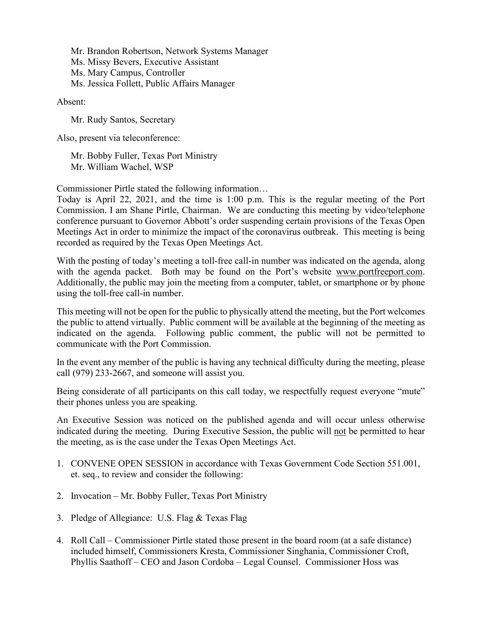Mr. Brandon Robertson, Network Systems Manager Ms. Missy Bevers, Executive Assistant Ms. Mary Campus, Controller Ms. Jessica Follett, Public Affairs Manager

Absent:

Mr. Rudy Santos, Secretary

Also, present via teleconference:

Mr. Bobby Fuller, Texas Port Ministry Mr. William Wachel, WSP

Commissioner Pirtle stated the following information…

Today is April 22, 2021, and the time is 1:00 p.m. This is the regular meeting of the Port Commission. I am Shane Pirtle, Chairman. We are conducting this meeting by video/telephone conference pursuant to Governor Abbott's order suspending certain provisions of the Texas Open Meetings Act in order to minimize the impact of the coronavirus outbreak. This meeting is being recorded as required by the Texas Open Meetings Act.

With the posting of today's meeting a toll-free call-in number was indicated on the agenda, along with the agenda packet. Both may be found on the Port's website [www.portfreeport.com.](http://www.portfreeport.com/) Additionally, the public may join the meeting from a computer, tablet, or smartphone or by phone using the toll-free call-in number.

This meeting will not be open for the public to physically attend the meeting, but the Port welcomes the public to attend virtually. Public comment will be available at the beginning of the meeting as indicated on the agenda. Following public comment, the public will not be permitted to communicate with the Port Commission.

In the event any member of the public is having any technical difficulty during the meeting, please call (979) 233-2667, and someone will assist you.

Being considerate of all participants on this call today, we respectfully request everyone "mute" their phones unless you are speaking.

An Executive Session was noticed on the published agenda and will occur unless otherwise indicated during the meeting. During Executive Session, the public will not be permitted to hear the meeting, as is the case under the Texas Open Meetings Act.

- 1. CONVENE OPEN SESSION in accordance with Texas Government Code Section 551.001, et. seq., to review and consider the following:
- 2. Invocation Mr. Bobby Fuller, Texas Port Ministry
- 3. Pledge of Allegiance: U.S. Flag & Texas Flag
- 4. Roll Call Commissioner Pirtle stated those present in the board room (at a safe distance) included himself, Commissioners Kresta, Commissioner Singhania, Commissioner Croft, Phyllis Saathoff – CEO and Jason Cordoba – Legal Counsel. Commissioner Hoss was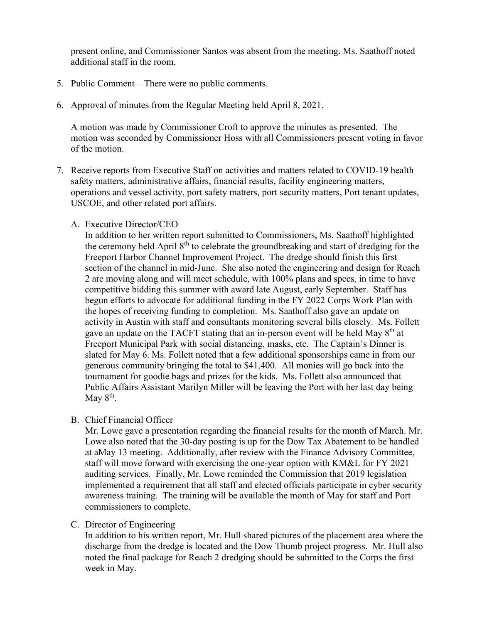present online, and Commissioner Santos was absent from the meeting. Ms. Saathoff noted additional staff in the room.

- 5. Public Comment There were no public comments.
- 6. Approval of minutes from the Regular Meeting held April 8, 2021.

A motion was made by Commissioner Croft to approve the minutes as presented. The motion was seconded by Commissioner Hoss with all Commissioners present voting in favor of the motion.

7. Receive reports from Executive Staff on activities and matters related to COVID-19 health safety matters, administrative affairs, financial results, facility engineering matters, operations and vessel activity, port safety matters, port security matters, Port tenant updates, USCOE, and other related port affairs.

### A. Executive Director/CEO

In addition to her written report submitted to Commissioners, Ms. Saathoff highlighted the ceremony held April 8<sup>th</sup> to celebrate the groundbreaking and start of dredging for the Freeport Harbor Channel Improvement Project. The dredge should finish this first section of the channel in mid-June. She also noted the engineering and design for Reach 2 are moving along and will meet schedule, with 100% plans and specs, in time to have competitive bidding this summer with award late August, early September. Staff has begun efforts to advocate for additional funding in the FY 2022 Corps Work Plan with the hopes of receiving funding to completion. Ms. Saathoff also gave an update on activity in Austin with staff and consultants monitoring several bills closely. Ms. Follett gave an update on the TACFT stating that an in-person event will be held May  $8<sup>th</sup>$  at Freeport Municipal Park with social distancing, masks, etc. The Captain's Dinner is slated for May 6. Ms. Follett noted that a few additional sponsorships came in from our generous community bringing the total to \$41,400. All monies will go back into the tournament for goodie bags and prizes for the kids. Ms. Follett also announced that Public Affairs Assistant Marilyn Miller will be leaving the Port with her last day being May  $8<sup>th</sup>$ .

#### B. Chief Financial Officer

Mr. Lowe gave a presentation regarding the financial results for the month of March. Mr. Lowe also noted that the 30-day posting is up for the Dow Tax Abatement to be handled at aMay 13 meeting. Additionally, after review with the Finance Advisory Committee, staff will move forward with exercising the one-year option with KM&L for FY 2021 auditing services. Finally, Mr. Lowe reminded the Commission that 2019 legislation implemented a requirement that all staff and elected officials participate in cyber security awareness training. The training will be available the month of May for staff and Port commissioners to complete.

## C. Director of Engineering

In addition to his written report, Mr. Hull shared pictures of the placement area where the discharge from the dredge is located and the Dow Thumb project progress. Mr. Hull also noted the final package for Reach 2 dredging should be submitted to the Corps the first week in May.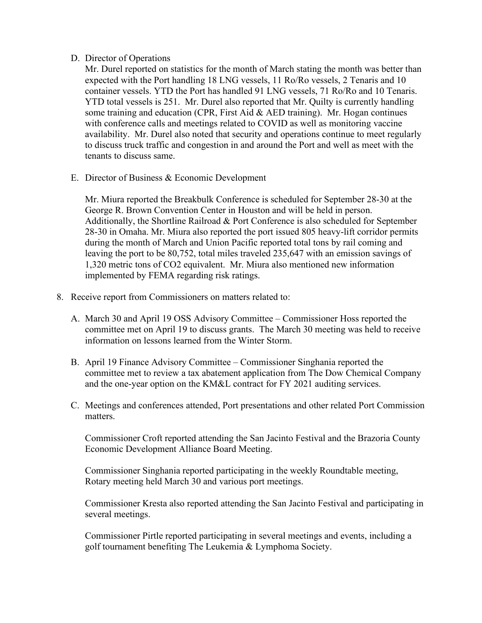## D. Director of Operations

Mr. Durel reported on statistics for the month of March stating the month was better than expected with the Port handling 18 LNG vessels, 11 Ro/Ro vessels, 2 Tenaris and 10 container vessels. YTD the Port has handled 91 LNG vessels, 71 Ro/Ro and 10 Tenaris. YTD total vessels is 251. Mr. Durel also reported that Mr. Quilty is currently handling some training and education (CPR, First Aid & AED training). Mr. Hogan continues with conference calls and meetings related to COVID as well as monitoring vaccine availability. Mr. Durel also noted that security and operations continue to meet regularly to discuss truck traffic and congestion in and around the Port and well as meet with the tenants to discuss same.

E. Director of Business & Economic Development

Mr. Miura reported the Breakbulk Conference is scheduled for September 28-30 at the George R. Brown Convention Center in Houston and will be held in person. Additionally, the Shortline Railroad & Port Conference is also scheduled for September 28-30 in Omaha. Mr. Miura also reported the port issued 805 heavy-lift corridor permits during the month of March and Union Pacific reported total tons by rail coming and leaving the port to be 80,752, total miles traveled 235,647 with an emission savings of 1,320 metric tons of CO2 equivalent. Mr. Miura also mentioned new information implemented by FEMA regarding risk ratings.

- 8. Receive report from Commissioners on matters related to:
	- A. March 30 and April 19 OSS Advisory Committee Commissioner Hoss reported the committee met on April 19 to discuss grants. The March 30 meeting was held to receive information on lessons learned from the Winter Storm.
	- B. April 19 Finance Advisory Committee Commissioner Singhania reported the committee met to review a tax abatement application from The Dow Chemical Company and the one-year option on the KM&L contract for FY 2021 auditing services.
	- C. Meetings and conferences attended, Port presentations and other related Port Commission matters.

Commissioner Croft reported attending the San Jacinto Festival and the Brazoria County Economic Development Alliance Board Meeting.

Commissioner Singhania reported participating in the weekly Roundtable meeting, Rotary meeting held March 30 and various port meetings.

Commissioner Kresta also reported attending the San Jacinto Festival and participating in several meetings.

Commissioner Pirtle reported participating in several meetings and events, including a golf tournament benefiting The Leukemia & Lymphoma Society.